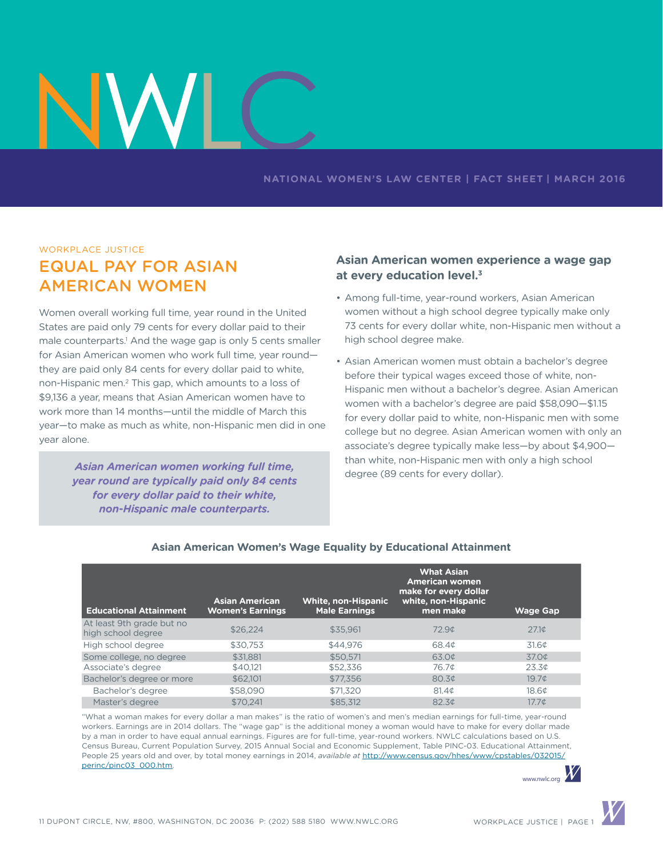#### **NATIONAL WOMEN'S LAW CENTER | FACT SHEET | march 2016**

#### workplace justice

# Equal Pay for asian american women

Women overall working full time, year round in the United States are paid only 79 cents for every dollar paid to their male counterparts.<sup>1</sup> And the wage gap is only 5 cents smaller for Asian American women who work full time, year round they are paid only 84 cents for every dollar paid to white, non-Hispanic men.2 This gap, which amounts to a loss of \$9,136 a year, means that Asian American women have to work more than 14 months—until the middle of March this year—to make as much as white, non-Hispanic men did in one year alone.

> *Asian American women working full time, year round are typically paid only 84 cents for every dollar paid to their white, non-Hispanic male counterparts.*

## **Asian American women experience a wage gap at every education level.3**

- Among full-time, year-round workers, Asian American women without a high school degree typically make only 73 cents for every dollar white, non-Hispanic men without a high school degree make.
- Asian American women must obtain a bachelor's degree before their typical wages exceed those of white, non-Hispanic men without a bachelor's degree. Asian American women with a bachelor's degree are paid \$58,090—\$1.15 for every dollar paid to white, non-Hispanic men with some college but no degree. Asian American women with only an associate's degree typically make less—by about \$4,900 than white, non-Hispanic men with only a high school degree (89 cents for every dollar).

| <b>Educational Attainment</b>                   | <b>Asian American</b><br><b>Women's Earnings</b> | <b>White, non-Hispanic</b><br><b>Male Earnings</b> | <b>What Asian</b><br><b>American women</b><br>make for every dollar<br>white, non-Hispanic<br>men make | <b>Wage Gap</b>   |
|-------------------------------------------------|--------------------------------------------------|----------------------------------------------------|--------------------------------------------------------------------------------------------------------|-------------------|
| At least 9th grade but no<br>high school degree | \$26,224                                         | \$35,961                                           | 72.9 <sub>¢</sub>                                                                                      | 27.1 <sub>0</sub> |
| High school degree                              | \$30.753                                         | \$44.976                                           | 68.4¢                                                                                                  | 31.60             |
| Some college, no degree                         | \$31.881                                         | \$50.571                                           | 63.0¢                                                                                                  | 37.0¢             |
| Associate's degree                              | \$40.121                                         | \$52,336                                           | 76.7¢                                                                                                  | 23.3 <sub>¢</sub> |
| Bachelor's degree or more                       | \$62,101                                         | \$77,356                                           | 80.3 <sub>¢</sub>                                                                                      | 19.7 <sub>¢</sub> |
| Bachelor's degree                               | \$58,090                                         | \$71,320                                           | 81.4 <sub>¢</sub>                                                                                      | 18.6 <sup>¢</sup> |
| Master's degree                                 | \$70.241                                         | \$85,312                                           | 82.3 <sup>¢</sup>                                                                                      | $17.7\textdegree$ |

#### **Asian American Women's Wage Equality by Educational Attainment**

"What a woman makes for every dollar a man makes" is the ratio of women's and men's median earnings for full-time, year-round workers. Earnings are in 2014 dollars. The "wage gap" is the additional money a woman would have to make for every dollar made by a man in order to have equal annual earnings. Figures are for full-time, year-round workers. NWLC calculations based on U.S. Census Bureau, Current Population Survey, 2015 Annual Social and Economic Supplement, Table PINC-03. Educational Attainment, People 25 years old and over, by total money earnings in 2014, *available at* [http://www.census.gov/hhes/www/cpstables/032015/](http://www.census.gov/hhes/www/cpstables/032015/perinc/pinc03_000.htm) [perinc/pinc03\\_000.htm](http://www.census.gov/hhes/www/cpstables/032015/perinc/pinc03_000.htm).

www.nwlc.org

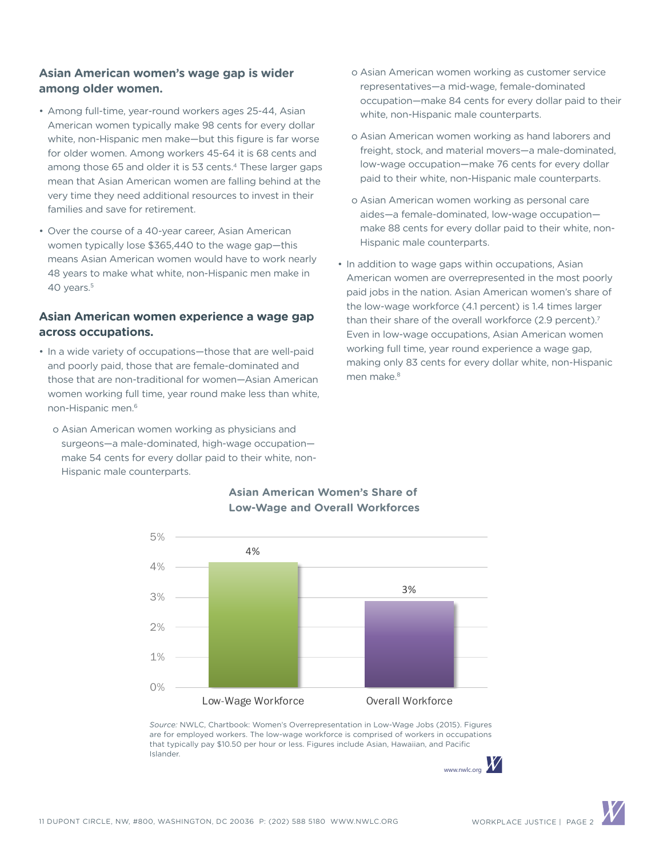## **Asian American women's wage gap is wider among older women.**

- Among full-time, year-round workers ages 25-44, Asian American women typically make 98 cents for every dollar white, non-Hispanic men make—but this figure is far worse for older women. Among workers 45-64 it is 68 cents and among those 65 and older it is 53 cents.<sup>4</sup> These larger gaps mean that Asian American women are falling behind at the very time they need additional resources to invest in their families and save for retirement.
- Over the course of a 40-year career, Asian American women typically lose \$365,440 to the wage gap—this means Asian American women would have to work nearly 48 years to make what white, non-Hispanic men make in 40 years.<sup>5</sup>

#### **Asian American women experience a wage gap across occupations.**

- In a wide variety of occupations—those that are well-paid and poorly paid, those that are female-dominated and those that are non-traditional for women—Asian American women working full time, year round make less than white, non-Hispanic men.6
	- o Asian American women working as physicians and surgeons—a male-dominated, high-wage occupation make 54 cents for every dollar paid to their white, non-Hispanic male counterparts.
- o Asian American women working as customer service representatives—a mid-wage, female-dominated occupation—make 84 cents for every dollar paid to their white, non-Hispanic male counterparts.
- o Asian American women working as hand laborers and freight, stock, and material movers—a male-dominated, low-wage occupation—make 76 cents for every dollar paid to their white, non-Hispanic male counterparts.
- o Asian American women working as personal care aides—a female-dominated, low-wage occupation make 88 cents for every dollar paid to their white, non-Hispanic male counterparts.
- In addition to wage gaps within occupations, Asian American women are overrepresented in the most poorly paid jobs in the nation. Asian American women's share of the low-wage workforce (4.1 percent) is 1.4 times larger than their share of the overall workforce (2.9 percent).<sup>7</sup> Even in low-wage occupations, Asian American women working full time, year round experience a wage gap, making only 83 cents for every dollar white, non-Hispanic men make.<sup>8</sup>



#### **Asian American Women's Share of Low-Wage and Overall Workforces**

*Source:* NWLC, Chartbook: Women's Overrepresentation in Low-Wage Jobs (2015). Figures are for employed workers. The low-wage workforce is comprised of workers in occupations that typically pay \$10.50 per hour or less. Figures include Asian, Hawaiian, and Pacific Islander.

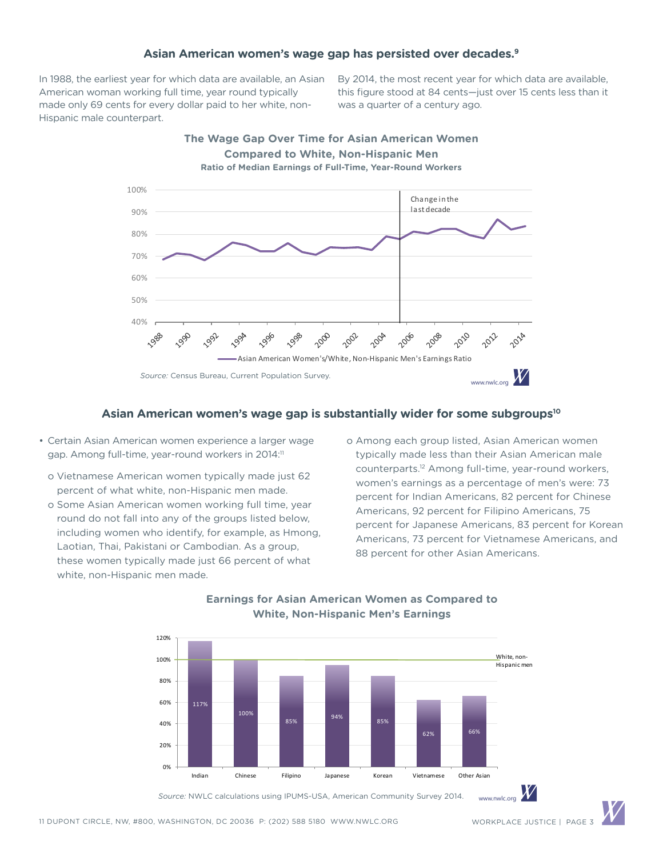#### **Asian American women's wage gap has persisted over decades.9**

In 1988, the earliest year for which data are available, an Asian American woman working full time, year round typically made only 69 cents for every dollar paid to her white, non-Hispanic male counterpart.

By 2014, the most recent year for which data are available, this figure stood at 84 cents—just over 15 cents less than it was a quarter of a century ago.



#### **Asian American women's wage gap is substantially wider for some subgroups10**

- Certain Asian American women experience a larger wage gap. Among full-time, year-round workers in 2014:<sup>11</sup>
	- o Vietnamese American women typically made just 62 percent of what white, non-Hispanic men made.
	- o Some Asian American women working full time, year round do not fall into any of the groups listed below, including women who identify, for example, as Hmong, Laotian, Thai, Pakistani or Cambodian. As a group, these women typically made just 66 percent of what white, non-Hispanic men made.

 o Among each group listed, Asian American women typically made less than their Asian American male counterparts.12 Among full-time, year-round workers, women's earnings as a percentage of men's were: 73 percent for Indian Americans, 82 percent for Chinese Americans, 92 percent for Filipino Americans, 75 percent for Japanese Americans, 83 percent for Korean Americans, 73 percent for Vietnamese Americans, and 88 percent for other Asian Americans.



#### **Earnings for Asian American Women as Compared to White, Non-Hispanic Men's Earnings**

Source: NWLC calculations using IPUMS-USA, American Community Survey 2014. www.nwlc.org